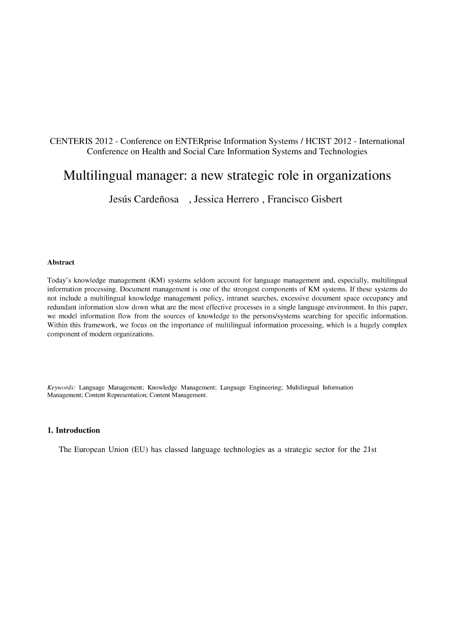## CENTERIS 2012 - Conference on ENTERprise Information Systems / HCIST 2012 - International Conference on Health and Social Care Information Systems and Technologies

# Multilingual manager: a new strategic role in organizations

Jesús Cardeñosa , Jessica Herrero, Francisco Gisbert

## Abstract

Today's knowledge management (KM) systems seldom account for language management and, especially, multilingual information processing. Document management is one of the strongest components of KM systems. If these systems do not include a multilingual knowledge management policy, intranet searches, excessive document space occupancy and redundant information slow down what are the most effective processes in a single language environment. In this paper, we model information flow from the sources of knowledge to the persons/systems searching for specific information. Within this framework, we focus on the importance of multilingual information processing, which is a hugely complex component of modern organizations.

*Keywords:* Language Management; Knowledge Management; Language Engineering; Multilingual Information Management; Content Representation; Content Management.

## **1. Introduction**

The European Union (EU) has classed language technologies as a strategic sector for the 21st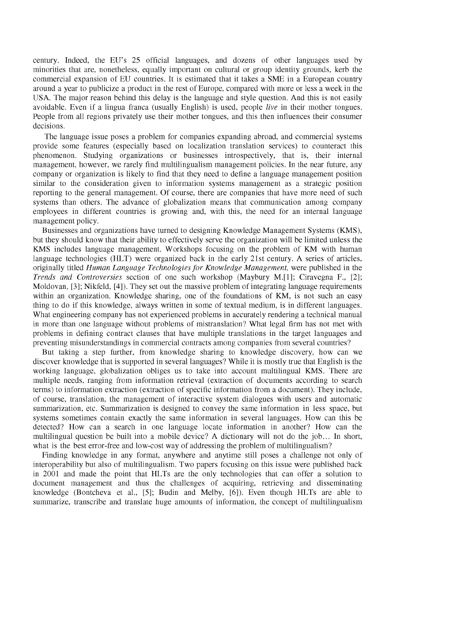century. Indeed, the EU's 25 official languages, and dozens of other languages used by minorities that are, nonetheless, equally important on cultural or group identity grounds, kerb the commercial expansion of EU countries. It is estimated that it takes a SME in a European country around a year to publicize a product in the rest of Europe, compared with more or less a week in the USA. The major reason behind this delay is the language and style question. And this is not easily avoidable. Even if a lingua franca (usually English) is used, people *live* in their mother tongues. People from all regions privately use their mother tongues, and this then influences their consumer decisions.

The language issue poses a problem for companies expanding abroad, and commercial systems provide some features (especially based on localization translation services) to counteract this phenomenon. Studying organizations or businesses introspectively, that is, their internal management, however, we rarely find multilingualism management policies. In the near future, any company or organization is likely to find that they need to define a language management position similar to the consideration given to information systems management as a strategic position reporting to the general management. Of course, there are companies that have more need of such systems than others. The advance of globalization means that communication among company employees in different countries is growing and, with this, the need for an internal language management policy.

Businesses and organizations have turned to designing Knowledge Management Systems (KMS), but they should know that their ability to effectively serve the organization will be limited unless the KMS includes language management. Workshops focusing on the problem of KM with human language technologies (HLT) were organized back in the early 21st century. A series of articles, originally titled *Human Language Technologies for Knowledge Management,* were published in the *Trends and Controversies* section of one such workshop (Maybury M.[l]; Ciravegna F., [2]; Moldovan, [3]; Nikfeld, [4]). They set out the massive problem of integrating language requirements within an organization. Knowledge sharing, one of the foundations of KM, is not such an easy thing to do if this knowledge, always written in some of textual medium, is in different languages. What engineering company has not experienced problems in accurately rendering a technical manual in more than one language without problems of mistranslation? What legal firm has not met with problems in defining contract clauses that have multiple translations in the target languages and preventing misunderstandings in commercial contracts among companies from several countries?

But taking a step further, from knowledge sharing to knowledge discovery, how can we discover knowledge that is supported in several languages? While it is mostly true that English is the working language, globalization obliges us to take into account multilingual KMS. There are multiple needs, ranging from information retrieval (extraction of documents according to search terms) to information extraction (extraction of specific information from a document). They include, of course, translation, the management of interactive system dialogues with users and automatic summarization, etc. Summarization is designed to convey the same information in less space, but systems sometimes contain exactly the same information in several languages. How can this be detected? How can a search in one language locate information in another? How can the multilingual question be built into a mobile device? A dictionary will not do the job... In short, what is the best error-free and low-cost way of addressing the problem of multilingualism?

Finding knowledge in any format, anywhere and anytime still poses a challenge not only of interoperability but also of multilingualism. Two papers focusing on this issue were published back in 2001 and made the point that HLTs are the only technologies that can offer a solution to document management and thus the challenges of acquiring, retrieving and disseminating knowledge (Bontcheva et al., [5]; Budin and Melby, [6]). Even though HLTs are able to summarize, transcribe and translate huge amounts of information, the concept of multilingualism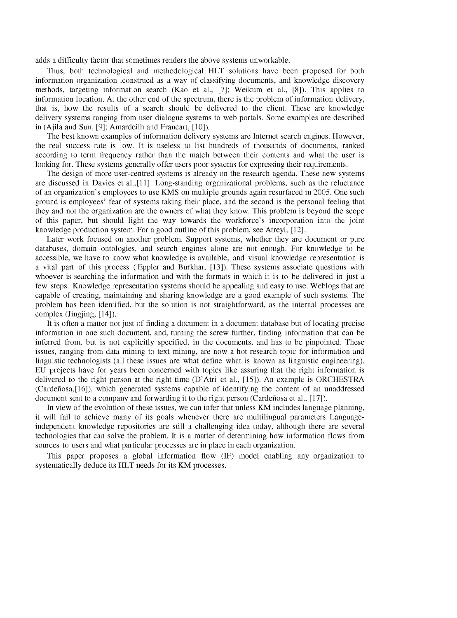adds a difficulty factor that sometimes renders the above systems unworkable.

Thus, both technological and methodological HLT solutions have been proposed for both information organization ,construed as a way of classifying documents, and knowledge discovery methods, targeting information search (Kao et al., [7]; Weikum et al., [8]). This applies to information location. At the other end of the spectrum, there is the problem of information delivery, that is, how the results of a search should be delivered to the client. These are knowledge delivery systems ranging from user dialogue systems to web portals. Some examples are described in (Ajila and Sun, [9]; Amardeilh and Francart, [10]).

The best known examples of information delivery systems are Internet search engines. However, the real success rate is low. It is useless to list hundreds of thousands of documents, ranked according to term frequency rather than the match between their contents and what the user is looking for. These systems generally offer users poor systems for expressing their requirements.

The design of more user-centred systems is already on the research agenda. These new systems are discussed in Davies et al.,[ll]. Long-standing organizational problems, such as the reluctance of an organization's employees to use KMS on multiple grounds again resurfaced in 2005. One such ground is employees' fear of systems taking their place, and the second is the personal feeling that they and not the organization are the owners of what they know. This problem is beyond the scope of this paper, but should light the way towards the workforce's incorporation into the joint knowledge production system. For a good outline of this problem, see Atreyi, [12].

Later work focused on another problem. Support systems, whether they are document or pure databases, domain ontologies, and search engines alone are not enough. For knowledge to be accessible, we have to know what knowledge is available, and visual knowledge representation is a vital part of this process (Eppler and Burkhar, [13]). These systems associate questions with whoever is searching the information and with the formats in which it is to be delivered in just a few steps. Knowledge representation systems should be appealing and easy to use. Weblogs that are capable of creating, maintaining and sharing knowledge are a good example of such systems. The problem has been identified, but the solution is not straightforward, as the internal processes are complex (Jingjing, [14]).

It is often a matter not just of finding a document in a document database but of locating precise information in one such document, and, turning the screw further, finding information that can be inferred from, but is not explicitly specified, in the documents, and has to be pinpointed. These issues, ranging from data mining to text mining, are now a hot research topic for information and linguistic technologists (all these issues are what define what is known as linguistic engineering). EU projects have for years been concerned with topics like assuring that the right information is delivered to the right person at the right time (D'Atri et al., [15]). An example is ORCHESTRA (Cardenosa,[16]), which generated systems capable of identifying the content of an unaddressed document sent to a company and forwarding it to the right person (Cardenosa et al., [17]).

In view of the evolution of these issues, we can infer that unless KM includes language planning, it will fail to achieve many of its goals whenever there are multilingual parameters Languageindependent knowledge repositories are still a challenging idea today, although there are several technologies that can solve the problem. It is a matter of determining how information flows from sources to users and what particular processes are in place in each organization.

This paper proposes a global information flow (IF) model enabling any organization to systematically deduce its HLT needs for its KM processes.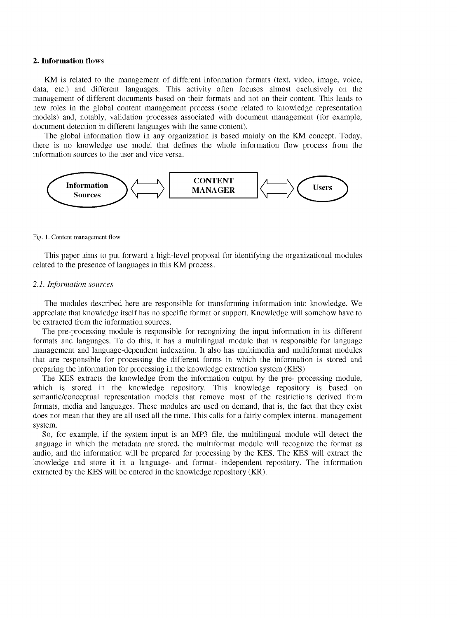## **2. Information flows**

KM is related to the management of different information formats (text, video, image, voice, data, etc.) and different languages. This activity often focuses almost exclusively on the management of different documents based on their formats and not on their content. This leads to new roles in the global content management process (some related to knowledge representation models) and, notably, validation processes associated with document management (for example, document detection in different languages with the same content).

The global information flow in any organization is based mainly on the KM concept. Today, there is no knowledge use model that defines the whole information flow process from the information sources to the user and vice versa.



#### Fig. 1. Content management flow

This paper aims to put forward a high-level proposal for identifying the organizational modules related to the presence of languages in this KM process.

#### *2.1. Information sources*

The modules described here are responsible for transforming information into knowledge. We appreciate that knowledge itself has no specific format or support. Knowledge will somehow have to be extracted from the information sources.

The pre-processing module is responsible for recognizing the input information in its different formats and languages. To do this, it has a multilingual module that is responsible for language management and language-dependent indexation. It also has multimedia and multiformat modules that are responsible for processing the different forms in which the information is stored and preparing the information for processing in the knowledge extraction system (KES).

The KES extracts the knowledge from the information output by the pre- processing module, which is stored in the knowledge repository. This knowledge repository is based on semantic/conceptual representation models that remove most of the restrictions derived from formats, media and languages. These modules are used on demand, that is, the fact that they exist does not mean that they are all used all the time. This calls for a fairly complex internal management system.

So, for example, if the system input is an MP3 file, the multilingual module will detect the language in which the metadata are stored, the multiformat module will recognize the format as audio, and the information will be prepared for processing by the KES. The KES will extract the knowledge and store it in a language- and format- independent repository. The information extracted by the KES will be entered in the knowledge repository (KR).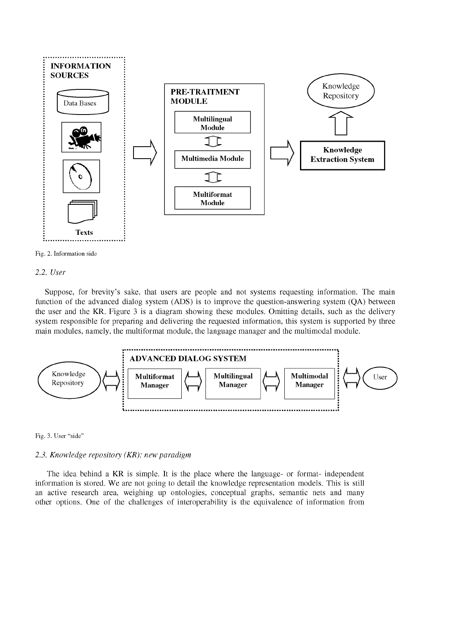



## *2.2. User*

Suppose, for brevity's sake, that users are people and not systems requesting information. The main function of the advanced dialog system (ADS) is to improve the question-answering system (QA) between the user and the KR. Figure 3 is a diagram showing these modules. Omitting details, such as the delivery system responsible for preparing and delivering the requested information, this system is supported by three main modules, namely, the multiformat module, the language manager and the multimodal module.



Fig. 3. User "side"

## *2.3. Knowledge repository (KR): new paradigm*

The idea behind a KR is simple. It is the place where the language- or format- independent information is stored. We are not going to detail the knowledge representation models. This is still an active research area, weighing up ontologies, conceptual graphs, semantic nets and many other options. One of the challenges of interoperability is the equivalence of information from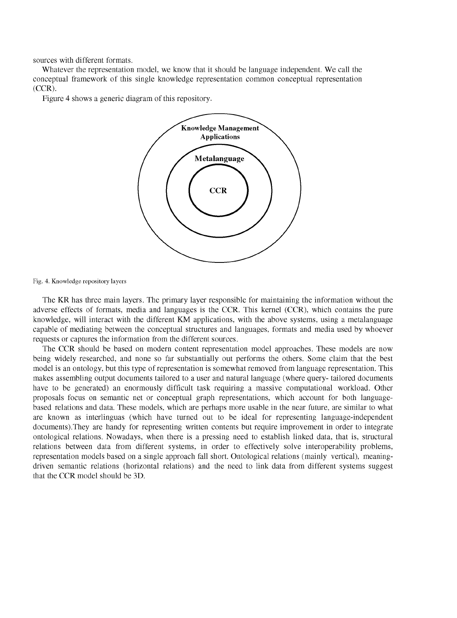sources with different formats.

Whatever the representation model, we know that it should be language independent. We call the conceptual framework of this single knowledge representation common conceptual representation (CCR).

Figure 4 shows a generic diagram of this repository.





The KR has three main layers. The primary layer responsible for maintaining the information without the adverse effects of formats, media and languages is the CCR. This kernel (CCR), which contains the pure knowledge, will interact with the different KM applications, with the above systems, using a metalanguage capable of mediating between the conceptual structures and languages, formats and media used by whoever requests or captures the information from the different sources.

The CCR should be based on modern content representation model approaches. These models are now being widely researched, and none so far substantially out performs the others. Some claim that the best model is an ontology, but this type of representation is somewhat removed from language representation. This makes assembling output documents tailored to a user and natural language (where query- tailored documents have to be generated) an enormously difficult task requiring a massive computational workload. Other proposals focus on semantic net or conceptual graph representations, which account for both languagebased relations and data. These models, which are perhaps more usable in the near future, are similar to what are known as interlinguas (which have turned out to be ideal for representing language-independent documents).They are handy for representing written contents but require improvement in order to integrate ontological relations. Nowadays, when there is a pressing need to establish linked data, that is, structural relations between data from different systems, in order to effectively solve interoperability problems, representation models based on a single approach fall short. Ontological relations (mainly vertical), meaningdriven semantic relations (horizontal relations) and the need to link data from different systems suggest that the CCR model should be 3D.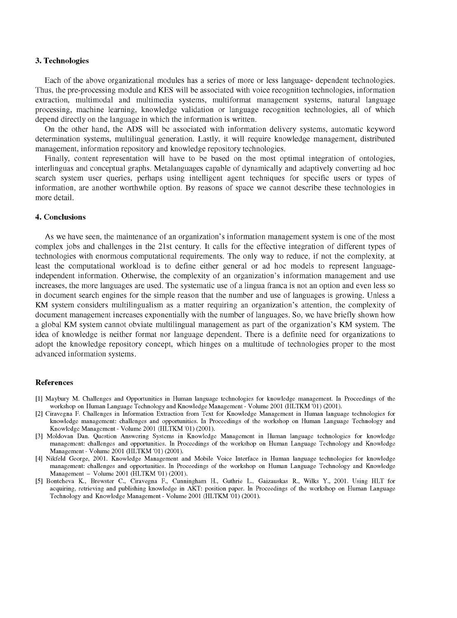## **3. Technologies**

Each of the above organizational modules has a series of more or less language- dependent technologies. Thus, the pre-processing module and KES will be associated with voice recognition technologies, information extraction, multimodal and multimedia systems, multiformat management systems, natural language processing, machine learning, knowledge validation or language recognition technologies, all of which depend directly on the language in which the information is written.

On the other hand, the ADS will be associated with information delivery systems, automatic keyword determination systems, multilingual generation. Lastly, it will require knowledge management, distributed management, information repository and knowledge repository technologies.

Finally, content representation will have to be based on the most optimal integration of ontologies, interlinguas and conceptual graphs. Metalanguages capable of dynamically and adaptively converting ad hoc search system user queries, perhaps using intelligent agent techniques for specific users or types of information, are another worthwhile option. By reasons of space we cannot describe these technologies in more detail.

## **4. Conclusions**

As we have seen, the maintenance of an organization's information management system is one of the most complex jobs and challenges in the 21st century. It calls for the effective integration of different types of technologies with enormous computational requirements. The only way to reduce, if not the complexity, at least the computational workload is to define either general or ad hoc models to represent languageindependent information. Otherwise, the complexity of an organization's information management and use increases, the more languages are used. The systematic use of a lingua franca is not an option and even less so in document search engines for the simple reason that the number and use of languages is growing. Unless a KM system considers multihngualism as a matter requiring an organization's attention, the complexity of document management increases exponentially with the number of languages. So, we have briefly shown how a global KM system cannot obviate multilingual management as part of the organization's KM system. The idea of knowledge is neither format nor language dependent. There is a definite need for organizations to adopt the knowledge repository concept, which hinges on a multitude of technologies proper to the most advanced information systems.

#### **References**

- [1] Maybury M. Challenges and Opportunities in Human language technologies for knowledge management. In Proceedings of the workshop on Human Language Technology and Knowledge Management - Volume 2001 (HLTKM '01) (2001).
- [2] Ciravegna F. Challenges in Information Extraction from Text for Knowledge Management in Human language technologies for knowledge management: challenges and opportunities. In Proceedings of the workshop on Human Language Technology and Knowledge Management - Volume 2001 (HLTKM '01) (2001).
- [3] Moldovan Dan. Question Answering Systems in Knowledge Management in Human language technologies for knowledge management: challenges and opportunities. In Proceedings of the workshop on Human Language Technology and Knowledge Management- Volume 2001 (HLTKM '01) (2001).
- [4] Nikfeld George, 2001. Knowledge Management and Mobile Voice Interface in Human language technologies for knowledge management: challenges and opportunities. In Proceedings of the workshop on Human Language Technology and Knowledge Management - Volume 2001 (HLTKM '01) (2001).
- [5] Bontcheva K, Brewster C, Ciravegna F., Cunningham H., Guthrie L., Gaizauskas R., Wilks Y., 2001. Using HLT for acquiring, retrieving and publishing knowledge in AKT: position paper. In Proceedings of the workshop on Human Language Technology and Knowledge Management - Volume 2001 (HLTKM '01) (2001).